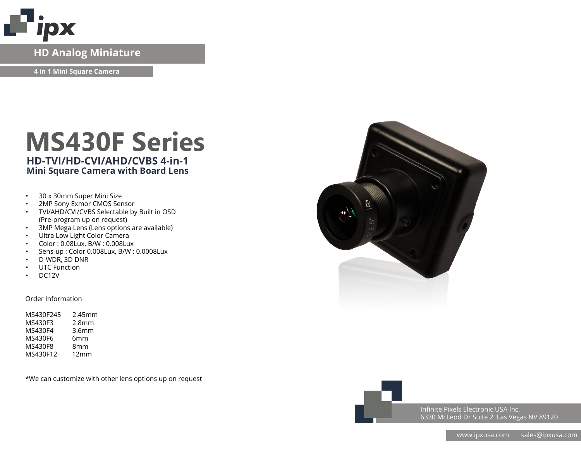

### **HD Analog Miniature**

**4 in 1 Mini Square Camera**

# **MS430F Series HD-TVI/HD-CVI/AHD/CVBS 4-in-1**

### **Mini Square Camera with Board Lens**

- 30 x 30mm Super Mini Size
- 2MP Sony Exmor CMOS Sensor
- TVI/AHD/CVI/CVBS Selectable by Built in OSD (Pre-program up on request)
- 3MP Mega Lens (Lens options are available)
- Ultra Low Light Color Camera
- Color : 0.08Lux, B/W : 0.008Lux
- Sens-up : Color 0.008Lux, B/W : 0.0008Lux
- D-WDR, 3D DNR
- UTC Function
- DC12V

#### Order Information

| MS430F245 | 2.45mm            |
|-----------|-------------------|
| MS430F3   | 2.8 <sub>mm</sub> |
| MS430F4   | 3.6 <sub>mm</sub> |
| MS430F6   | 6mm               |
| MS430F8   | 8mm               |
| MS430F12  | 12mm              |
|           |                   |

\*We can customize with other lens options up on request